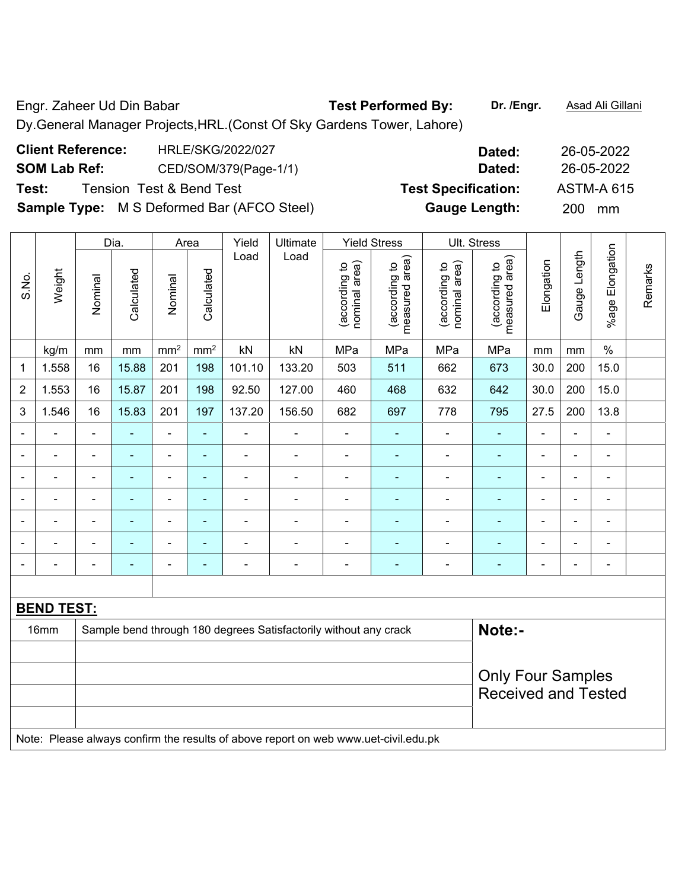Engr. Zaheer Ud Din Babar **Test Performed By:** Dr. /Engr. **Asad Ali Gillani** Dy.General Manager Projects,HRL.(Const Of Sky Gardens Tower, Lahore)

| <b>Client Reference:</b> | HRLE/SKG/2022/027                                 | Dated:                     | 26-05-2022        |
|--------------------------|---------------------------------------------------|----------------------------|-------------------|
| <b>SOM Lab Ref:</b>      | CED/SOM/379(Page-1/1)                             | Dated:                     | 26-05-2022        |
| Test:                    | Tension Test & Bend Test                          | <b>Test Specification:</b> | <b>ASTM-A 615</b> |
|                          | <b>Sample Type:</b> M S Deformed Bar (AFCO Steel) | <b>Gauge Length:</b>       | <b>200</b><br>mm  |

|                          |                   | Dia.           |                | Area                     |                 | Yield          | Ultimate                                                         |                                | <b>Yield Stress</b>             |                                | Ult. Stress                     |                          |                |                          |         |  |  |
|--------------------------|-------------------|----------------|----------------|--------------------------|-----------------|----------------|------------------------------------------------------------------|--------------------------------|---------------------------------|--------------------------------|---------------------------------|--------------------------|----------------|--------------------------|---------|--|--|
| S.No.                    | Weight            | Nominal        | Calculated     | Nominal                  | Calculated      | Load           | Load                                                             | nominal area)<br>(according to | measured area)<br>(according to | nominal area)<br>(according to | measured area)<br>(according to | Elongation               | Gauge Length   | %age Elongation          | Remarks |  |  |
|                          | kg/m              | mm             | mm             | mm <sup>2</sup>          | mm <sup>2</sup> | kN             | kN                                                               | MPa                            | MPa                             | MPa                            | MPa                             | mm                       | mm             | $\%$                     |         |  |  |
| 1                        | 1.558             | 16             | 15.88          | 201                      | 198             | 101.10         | 133.20                                                           | 503                            | 511                             | 662                            | 673                             | 30.0                     | 200            | 15.0                     |         |  |  |
| $\overline{2}$           | 1.553             | 16             | 15.87          | 201                      | 198             | 92.50          | 127.00                                                           | 460                            | 468                             | 632                            | 642                             | 30.0                     | 200            | 15.0                     |         |  |  |
| 3                        | 1.546             | 16             | 15.83          | 201                      | 197             | 137.20         | 156.50                                                           | 682                            | 697                             | 778                            | 795                             | 27.5                     | 200            | 13.8                     |         |  |  |
|                          |                   | $\blacksquare$ |                | $\blacksquare$           | $\blacksquare$  | $\blacksquare$ | $\blacksquare$                                                   |                                |                                 | ۰                              |                                 |                          |                | $\blacksquare$           |         |  |  |
| ٠                        |                   | $\blacksquare$ | $\blacksquare$ | $\overline{\phantom{a}}$ | ٠               | $\blacksquare$ | ÷                                                                | $\blacksquare$                 | ۰                               | ۰                              | ۰                               | $\overline{a}$           | $\overline{a}$ | $\overline{\phantom{a}}$ |         |  |  |
| $\overline{\phantom{0}}$ | $\blacksquare$    | $\blacksquare$ | $\blacksquare$ | $\blacksquare$           | $\blacksquare$  | $\blacksquare$ | $\blacksquare$                                                   | $\blacksquare$                 | ٠                               | ۰                              | $\blacksquare$                  | $\blacksquare$           | $\blacksquare$ | $\blacksquare$           |         |  |  |
|                          |                   | $\blacksquare$ |                | $\blacksquare$           | $\blacksquare$  |                |                                                                  | $\blacksquare$                 | $\blacksquare$                  | $\blacksquare$                 |                                 |                          |                | $\blacksquare$           |         |  |  |
|                          |                   |                |                | ۰                        | $\blacksquare$  |                |                                                                  |                                | $\blacksquare$                  | ۰                              | ۰                               | $\overline{\phantom{0}}$ |                | $\blacksquare$           |         |  |  |
| $\blacksquare$           | ÷,                | $\blacksquare$ | $\blacksquare$ | ÷                        | $\blacksquare$  | $\blacksquare$ | ÷                                                                | $\blacksquare$                 | ۰                               | $\blacksquare$                 | $\blacksquare$                  | $\blacksquare$           | $\blacksquare$ | ä,                       |         |  |  |
|                          | $\blacksquare$    | $\blacksquare$ | $\blacksquare$ | $\blacksquare$           | $\blacksquare$  | $\blacksquare$ | $\blacksquare$                                                   | $\overline{a}$                 | ٠                               | ۰                              | $\blacksquare$                  | $\blacksquare$           | $\blacksquare$ | $\blacksquare$           |         |  |  |
|                          |                   |                |                |                          |                 |                |                                                                  |                                |                                 |                                |                                 |                          |                |                          |         |  |  |
|                          | <b>BEND TEST:</b> |                |                |                          |                 |                |                                                                  |                                |                                 |                                |                                 |                          |                |                          |         |  |  |
|                          | 16mm              |                |                |                          |                 |                | Sample bend through 180 degrees Satisfactorily without any crack |                                |                                 |                                | Note:-                          |                          |                |                          |         |  |  |
|                          |                   |                |                |                          |                 |                |                                                                  |                                |                                 |                                |                                 |                          |                |                          |         |  |  |
|                          |                   |                |                | <b>Only Four Samples</b> |                 |                |                                                                  |                                |                                 |                                |                                 |                          |                |                          |         |  |  |
|                          |                   |                |                |                          |                 |                | <b>Received and Tested</b>                                       |                                |                                 |                                |                                 |                          |                |                          |         |  |  |
|                          |                   |                |                |                          |                 |                |                                                                  |                                |                                 |                                |                                 |                          |                |                          |         |  |  |

Note: Please always confirm the results of above report on web www.uet-civil.edu.pk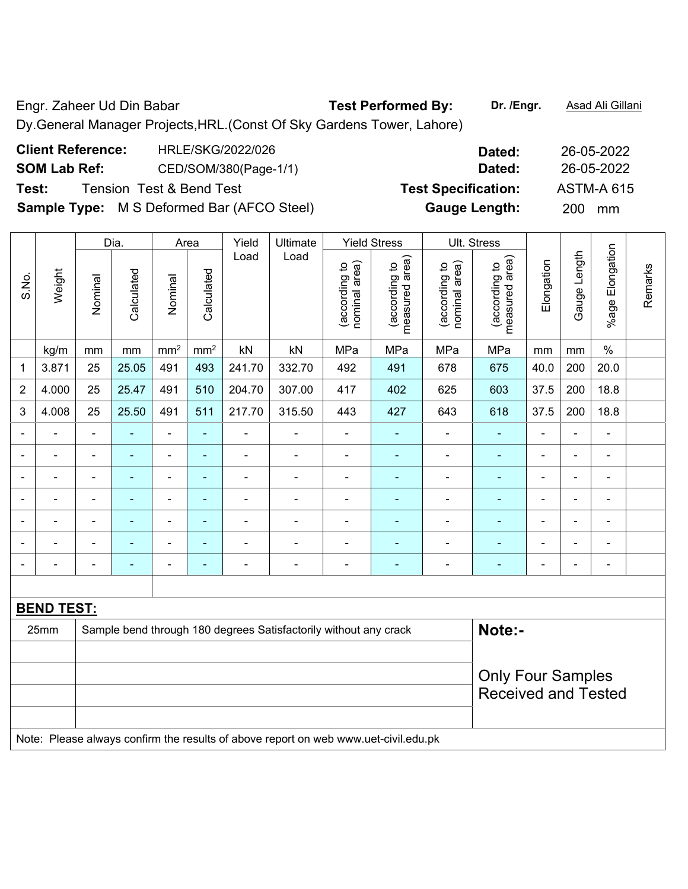Engr. Zaheer Ud Din Babar **Test Performed By: Dr. /Engr.** Asad Ali Gillani Dy.General Manager Projects,HRL.(Const Of Sky Gardens Tower, Lahore)

| <b>Client Reference:</b> | HRLE/SKG/2022/026                                 | Dated:                     | 26-05-2022        |
|--------------------------|---------------------------------------------------|----------------------------|-------------------|
| <b>SOM Lab Ref:</b>      | CED/SOM/380(Page-1/1)                             | Dated:                     | 26-05-2022        |
| Test:                    | Tension Test & Bend Test                          | <b>Test Specification:</b> | <b>ASTM-A 615</b> |
|                          | <b>Sample Type:</b> M S Deformed Bar (AFCO Steel) | <b>Gauge Length:</b>       | 200<br>mm         |

|                          |                   |                              | Dia.                     | Area                         |                 | Yield          | Ultimate                                                         |                                | <b>Yield Stress</b>             |                                | Ult. Stress                     |                |                              |                              |         |
|--------------------------|-------------------|------------------------------|--------------------------|------------------------------|-----------------|----------------|------------------------------------------------------------------|--------------------------------|---------------------------------|--------------------------------|---------------------------------|----------------|------------------------------|------------------------------|---------|
| S.No.                    | Weight            | Nominal                      | Calculated               | Nominal                      | Calculated      | Load           | Load                                                             | nominal area)<br>(according to | measured area)<br>(according to | nominal area)<br>(according to | measured area)<br>(according to | Elongation     | Gauge Length                 | %age Elongation              | Remarks |
|                          | kg/m              | mm                           | $\,mm$                   | mm <sup>2</sup>              | mm <sup>2</sup> | kN             | kN                                                               | MPa                            | MPa                             | MPa                            | MPa                             | mm             | mm                           | $\%$                         |         |
| 1                        | 3.871             | 25                           | 25.05                    | 491                          | 493             | 241.70         | 332.70                                                           | 492                            | 491                             | 678                            | 675                             | 40.0           | 200                          | 20.0                         |         |
| $\overline{2}$           | 4.000             | 25                           | 25.47                    | 491                          | 510             | 204.70         | 307.00                                                           | 417                            | 402                             | 625                            | 603                             | 37.5           | 200                          | 18.8                         |         |
| 3                        | 4.008             | 25                           | 25.50                    | 491                          | 511             | 217.70         | 315.50                                                           | 443                            | 427                             | 643                            | 618                             | 37.5           | 200                          | 18.8                         |         |
| $\blacksquare$           | $\blacksquare$    | $\blacksquare$               | ÷,                       | $\qquad \qquad \blacksquare$ | $\blacksquare$  | ä,             | $\blacksquare$                                                   | $\qquad \qquad \blacksquare$   | $\blacksquare$                  | ÷,                             | ÷,                              | $\blacksquare$ | $\blacksquare$               | $\blacksquare$               |         |
|                          | $\blacksquare$    | $\blacksquare$               | ÷,                       | ÷,                           | $\blacksquare$  | $\blacksquare$ | $\blacksquare$                                                   | $\overline{\phantom{a}}$       | $\blacksquare$                  | ÷,                             | $\blacksquare$                  | $\blacksquare$ | $\blacksquare$               | ä,                           |         |
|                          |                   | $\blacksquare$               | $\blacksquare$           | $\blacksquare$               | $\sim$          | ۰              | $\blacksquare$                                                   | $\overline{a}$                 | ۰                               | ۰                              | $\blacksquare$                  | $\blacksquare$ | $\blacksquare$               | $\qquad \qquad \blacksquare$ |         |
| $\blacksquare$           | $\blacksquare$    | $\blacksquare$               | $\blacksquare$           | $\overline{\phantom{a}}$     | $\blacksquare$  | $\blacksquare$ | $\blacksquare$                                                   | $\blacksquare$                 | ۰                               | $\blacksquare$                 | ٠                               | $\blacksquare$ | $\blacksquare$               | $\blacksquare$               |         |
| ۰                        | $\blacksquare$    | $\blacksquare$               | $\blacksquare$           | $\qquad \qquad \blacksquare$ | $\blacksquare$  | $\blacksquare$ | $\blacksquare$                                                   | ä,                             | ۰                               | ÷,                             | $\blacksquare$                  | $\blacksquare$ | $\blacksquare$               | $\blacksquare$               |         |
|                          |                   | $\blacksquare$               | $\blacksquare$           | $\blacksquare$               | $\blacksquare$  | $\blacksquare$ | $\blacksquare$                                                   | ä,                             | ۰                               | $\blacksquare$                 | $\blacksquare$                  |                | $\blacksquare$               | $\blacksquare$               |         |
| $\overline{\phantom{0}}$ | $\overline{a}$    | $\qquad \qquad \blacksquare$ | $\overline{\phantom{0}}$ | $\overline{\phantom{0}}$     | $\blacksquare$  | $\overline{a}$ | $\overline{\phantom{0}}$                                         | -                              | ۰                               | -                              | ۰                               | $\blacksquare$ | $\qquad \qquad \blacksquare$ | $\blacksquare$               |         |
|                          |                   |                              |                          |                              |                 |                |                                                                  |                                |                                 |                                |                                 |                |                              |                              |         |
|                          | <b>BEND TEST:</b> |                              |                          |                              |                 |                |                                                                  |                                |                                 |                                |                                 |                |                              |                              |         |
|                          | 25mm              |                              |                          |                              |                 |                | Sample bend through 180 degrees Satisfactorily without any crack |                                |                                 |                                | Note:-                          |                |                              |                              |         |
|                          |                   |                              |                          |                              |                 |                |                                                                  |                                |                                 |                                |                                 |                |                              |                              |         |
|                          |                   |                              |                          |                              |                 |                |                                                                  |                                |                                 |                                |                                 |                | <b>Only Four Samples</b>     |                              |         |
|                          |                   |                              |                          |                              |                 |                |                                                                  |                                |                                 |                                | <b>Received and Tested</b>      |                |                              |                              |         |
|                          |                   |                              |                          |                              |                 |                |                                                                  |                                |                                 |                                |                                 |                |                              |                              |         |

Note: Please always confirm the results of above report on web www.uet-civil.edu.pk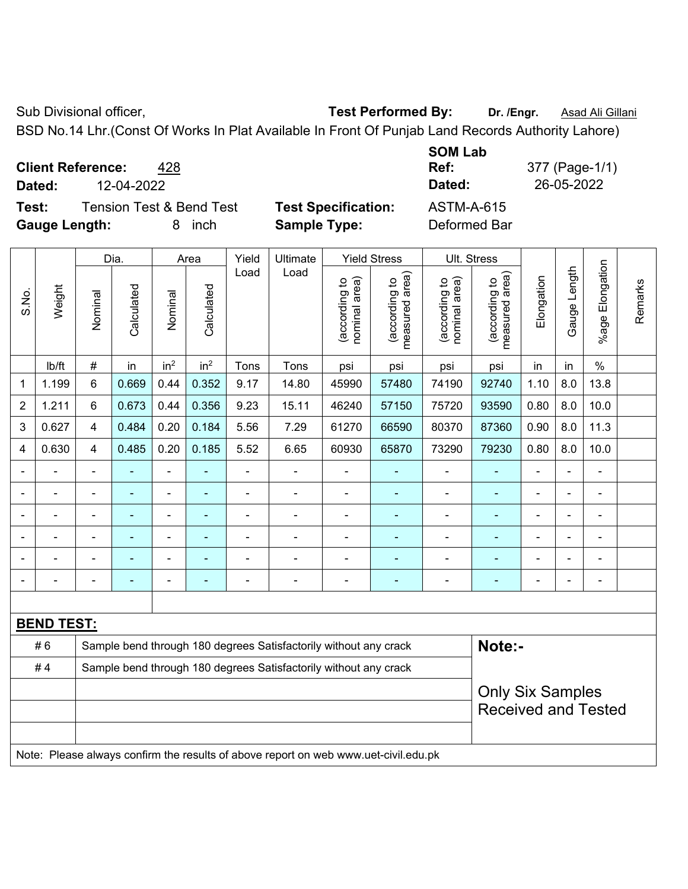Sub Divisional officer, **Test Performed By:** Dr. /Engr. **Asad Ali Gillani** Cub Divisional officer,

BSD No.14 Lhr.(Const Of Works In Plat Available In Front Of Punjab Land Records Authority Lahore)

**Client Reference:** 428

**Dated:** 12-04-2022 **Dated:** 26-05-2022

**Test:** Tension Test & Bend Test **Test Specification:** ASTM-A-615 **Gauge Length:** 8 inch **Sample Type:** Deformed Bar

**SOM Lab Ref:** 377 (Page-1/1)

|                         |                   |                | Dia.                                                             |                 | Area            | Yield          | Ultimate                                                         |                                | <b>Yield Stress</b>                         |                                | Ult. Stress                                 |                |                |                          |         |
|-------------------------|-------------------|----------------|------------------------------------------------------------------|-----------------|-----------------|----------------|------------------------------------------------------------------|--------------------------------|---------------------------------------------|--------------------------------|---------------------------------------------|----------------|----------------|--------------------------|---------|
| S.No.                   | Weight            | Nominal        | Calculated                                                       | Nominal         | Calculated      | Load           | Load                                                             | nominal area)<br>(according to | (according to<br>neasured area)<br>measured | nominal area)<br>(according to | (according to<br>neasured area)<br>measured | Elongation     | Gauge Length   | Elongation<br>$%$ age    | Remarks |
|                         | lb/ft             | #              | in                                                               | in <sup>2</sup> | in <sup>2</sup> | Tons           | Tons                                                             | psi                            | psi                                         | psi                            | psi                                         | in             | in             | $\%$                     |         |
| $\mathbf{1}$            | 1.199             | 6              | 0.669                                                            | 0.44            | 0.352           | 9.17           | 14.80                                                            | 45990                          | 57480                                       | 74190                          | 92740                                       | 1.10           | 8.0            | 13.8                     |         |
| $\overline{2}$          | 1.211             | 6              | 0.673                                                            | 0.44            | 0.356           | 9.23           | 15.11                                                            | 46240                          | 57150                                       | 75720                          | 93590                                       | 0.80           | 8.0            | 10.0                     |         |
| $\mathfrak{3}$          | 0.627             | 4              | 0.484                                                            | 0.20            | 0.184           | 5.56           | 7.29                                                             | 61270                          | 66590                                       | 80370                          | 87360                                       | 0.90           | 8.0            | 11.3                     |         |
| $\overline{\mathbf{4}}$ | 0.630             | $\overline{4}$ | 0.485                                                            | 0.20            | 0.185           | 5.52           | 6.65                                                             | 60930                          | 65870                                       | 73290                          | 79230                                       | 0.80           | 8.0            | 10.0                     |         |
|                         |                   | $\blacksquare$ |                                                                  | ۰               | ۰               | $\blacksquare$ |                                                                  |                                |                                             | $\overline{\phantom{a}}$       |                                             | ä,             | Ξ.             | $\blacksquare$           |         |
|                         |                   | $\blacksquare$ | ÷                                                                | $\blacksquare$  |                 | ÷              |                                                                  |                                |                                             | ä,                             |                                             |                |                |                          |         |
|                         |                   |                |                                                                  | -               |                 |                |                                                                  |                                |                                             |                                |                                             | $\blacksquare$ |                |                          |         |
|                         |                   | $\blacksquare$ | $\blacksquare$                                                   | ۰               | ÷               | $\blacksquare$ |                                                                  |                                | ٠                                           | ٠                              | $\blacksquare$                              | $\blacksquare$ | $\blacksquare$ | $\overline{\phantom{0}}$ |         |
|                         |                   |                | ٠                                                                | ÷               |                 |                |                                                                  |                                |                                             |                                |                                             |                |                | ÷                        |         |
|                         |                   |                |                                                                  |                 |                 |                |                                                                  |                                |                                             |                                |                                             |                |                |                          |         |
|                         |                   |                |                                                                  |                 |                 |                |                                                                  |                                |                                             |                                |                                             |                |                |                          |         |
|                         | <b>BEND TEST:</b> |                |                                                                  |                 |                 |                |                                                                  |                                |                                             |                                |                                             |                |                |                          |         |
|                         | #6                |                |                                                                  |                 |                 |                | Sample bend through 180 degrees Satisfactorily without any crack |                                |                                             |                                | Note:-                                      |                |                |                          |         |
|                         | #4                |                | Sample bend through 180 degrees Satisfactorily without any crack |                 |                 |                |                                                                  |                                |                                             |                                |                                             |                |                |                          |         |
|                         |                   |                |                                                                  |                 |                 |                | <b>Only Six Samples</b>                                          |                                |                                             |                                |                                             |                |                |                          |         |
|                         |                   |                |                                                                  |                 |                 |                |                                                                  |                                |                                             |                                | <b>Received and Tested</b>                  |                |                |                          |         |
|                         |                   |                |                                                                  |                 |                 |                |                                                                  |                                |                                             |                                |                                             |                |                |                          |         |

Note: Please always confirm the results of above report on web www.uet-civil.edu.pk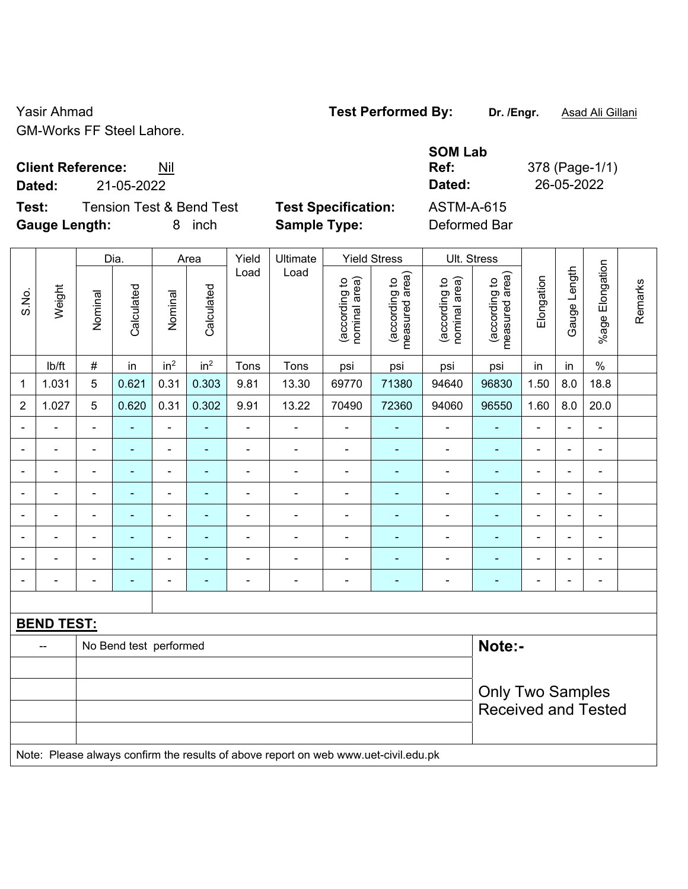Yasir Ahmad **Test Performed By:** Dr. /Engr. **Asad Ali Gillani** GM-Works FF Steel Lahore.

**Client Reference:** Nil

**Test:** Tension Test & Bend Test **Test Specification:** ASTM-A-615 **Gauge Length:** 8 inch **Sample Type:** Deformed Bar

**SOM Lab Ref:** 378 (Page-1/1) **Dated:** 21-05-2022 **Dated:** 26-05-2022

|                |                   |                          | Dia.                   |                          | Area                                                  |                          | Ultimate                                                                            |                                | <b>Yield Stress</b>             | Ult. Stress                    |                                 |                |                |                          |         |
|----------------|-------------------|--------------------------|------------------------|--------------------------|-------------------------------------------------------|--------------------------|-------------------------------------------------------------------------------------|--------------------------------|---------------------------------|--------------------------------|---------------------------------|----------------|----------------|--------------------------|---------|
| S.No.          | Weight            | Nominal                  | Calculated             | Nominal                  | Calculated                                            | Load                     | Load                                                                                | (according to<br>nominal area) | (according to<br>measured area) | (according to<br>nominal area) | (according to<br>measured area) | Elongation     | Gauge Length   | Elongation<br>$%$ age I  | Remarks |
|                | lb/ft             | $\#$                     | in                     | in <sup>2</sup>          | in <sup>2</sup>                                       | Tons                     | Tons                                                                                | psi                            | psi                             | psi                            | psi                             | in             | in             | $\frac{0}{0}$            |         |
| 1              | 1.031             | 5                        | 0.621                  | 0.31                     | 0.303                                                 | 9.81                     | 13.30                                                                               | 69770                          | 71380                           | 94640                          | 96830                           | 1.50           | 8.0            | 18.8                     |         |
| $\overline{2}$ | 1.027             | 5                        | 0.620                  | 0.31                     | 0.302                                                 | 9.91                     | 13.22                                                                               | 70490                          | 72360                           | 94060                          | 96550                           | 1.60           | 8.0            | 20.0                     |         |
| $\blacksquare$ | $\blacksquare$    | $\blacksquare$           | ÷,                     | $\blacksquare$           | $\omega$                                              | $\blacksquare$           | $\overline{\phantom{a}}$                                                            | $\blacksquare$                 | ÷                               | $\blacksquare$                 | $\blacksquare$                  | $\blacksquare$ | $\blacksquare$ | $\blacksquare$           |         |
| $\blacksquare$ | $\blacksquare$    | $\blacksquare$           | ÷,                     | $\overline{\phantom{a}}$ | $\blacksquare$                                        | $\overline{\phantom{a}}$ | $\blacksquare$                                                                      | $\overline{\phantom{a}}$       | $\blacksquare$                  | $\blacksquare$                 | $\blacksquare$                  | $\blacksquare$ | $\blacksquare$ | $\blacksquare$           |         |
| $\blacksquare$ | ä,                | $\blacksquare$           | ÷,                     | $\blacksquare$           | $\blacksquare$                                        | ä,                       | ä,                                                                                  | $\blacksquare$                 | ä,                              | $\blacksquare$                 | $\blacksquare$                  | $\blacksquare$ | ä,             | $\blacksquare$           |         |
|                | $\blacksquare$    | $\blacksquare$           | $\blacksquare$         | $\overline{\phantom{a}}$ | $\blacksquare$                                        | $\blacksquare$           | ä,                                                                                  | $\blacksquare$                 | ٠                               | $\blacksquare$                 | ÷,                              | $\blacksquare$ | $\blacksquare$ | $\blacksquare$           |         |
|                |                   | $\blacksquare$           | $\blacksquare$         | ۰                        |                                                       | $\blacksquare$           | $\blacksquare$                                                                      | $\blacksquare$                 | ۰                               | $\blacksquare$                 | $\overline{\phantom{a}}$        | $\blacksquare$ | $\blacksquare$ | $\overline{\phantom{0}}$ |         |
|                | $\blacksquare$    | $\blacksquare$           | ÷                      | $\blacksquare$           | $\blacksquare$                                        | $\blacksquare$           | $\blacksquare$                                                                      | $\blacksquare$                 | ٠                               | $\blacksquare$                 | $\blacksquare$                  | $\blacksquare$ | $\blacksquare$ | $\blacksquare$           |         |
|                | $\blacksquare$    | $\blacksquare$           |                        | $\overline{\phantom{a}}$ | ä,                                                    | $\blacksquare$           | $\blacksquare$                                                                      | $\blacksquare$                 | $\blacksquare$                  | $\blacksquare$                 | $\overline{\phantom{a}}$        | L,             | $\blacksquare$ | $\overline{\phantom{a}}$ |         |
| $\blacksquare$ | $\blacksquare$    | $\overline{\phantom{a}}$ | $\blacksquare$         | $\overline{\phantom{a}}$ | $\blacksquare$                                        | $\blacksquare$           | ÷                                                                                   | $\overline{\phantom{a}}$       | $\blacksquare$                  | $\overline{\phantom{a}}$       | $\blacksquare$                  | $\blacksquare$ | $\blacksquare$ | $\blacksquare$           |         |
|                |                   |                          |                        |                          |                                                       |                          |                                                                                     |                                |                                 |                                |                                 |                |                |                          |         |
|                | <b>BEND TEST:</b> |                          |                        |                          |                                                       |                          |                                                                                     |                                |                                 |                                |                                 |                |                |                          |         |
|                |                   |                          | No Bend test performed |                          |                                                       |                          |                                                                                     |                                |                                 |                                | Note:-                          |                |                |                          |         |
|                |                   |                          |                        |                          |                                                       |                          |                                                                                     |                                |                                 |                                |                                 |                |                |                          |         |
|                |                   |                          |                        |                          | <b>Only Two Samples</b><br><b>Received and Tested</b> |                          |                                                                                     |                                |                                 |                                |                                 |                |                |                          |         |
|                |                   |                          |                        |                          |                                                       |                          | Note: Please always confirm the results of above report on web www.uet-civil.edu.pk |                                |                                 |                                |                                 |                |                |                          |         |